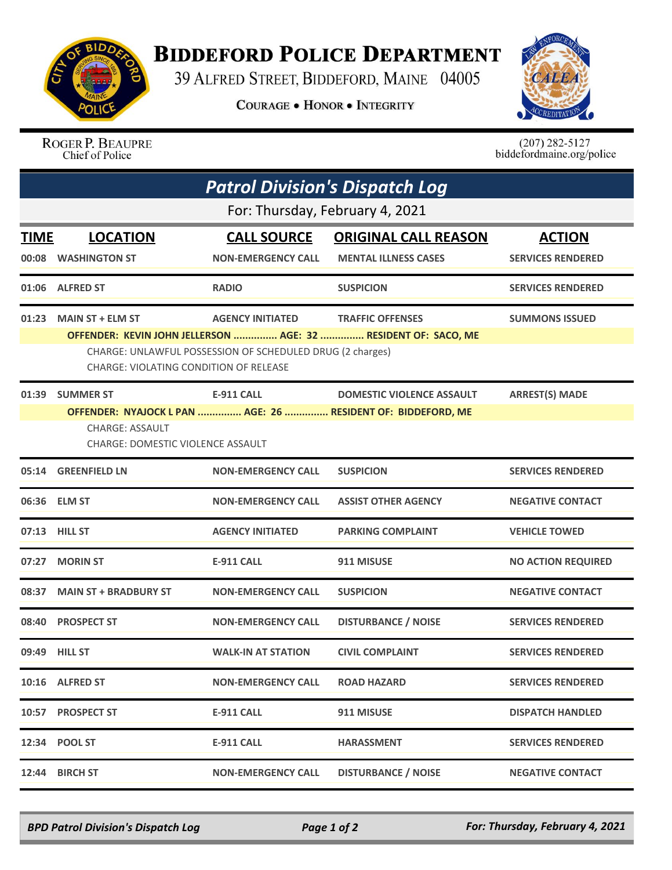

## **BIDDEFORD POLICE DEPARTMENT**

39 ALFRED STREET, BIDDEFORD, MAINE 04005

**COURAGE . HONOR . INTEGRITY** 



ROGER P. BEAUPRE Chief of Police

 $(207)$  282-5127<br>biddefordmaine.org/police

| <b>Patrol Division's Dispatch Log</b> |                                                                                                     |                           |                                                                |                           |  |  |  |  |
|---------------------------------------|-----------------------------------------------------------------------------------------------------|---------------------------|----------------------------------------------------------------|---------------------------|--|--|--|--|
|                                       | For: Thursday, February 4, 2021                                                                     |                           |                                                                |                           |  |  |  |  |
| TIME                                  | <b>LOCATION</b>                                                                                     | <b>CALL SOURCE</b>        | <b>ORIGINAL CALL REASON</b>                                    | <b>ACTION</b>             |  |  |  |  |
| 00:08                                 | <b>WASHINGTON ST</b>                                                                                | <b>NON-EMERGENCY CALL</b> | <b>MENTAL ILLNESS CASES</b>                                    | <b>SERVICES RENDERED</b>  |  |  |  |  |
|                                       | 01:06 ALFRED ST                                                                                     | <b>RADIO</b>              | <b>SUSPICION</b>                                               | <b>SERVICES RENDERED</b>  |  |  |  |  |
| 01:23                                 | <b>MAIN ST + ELM ST</b>                                                                             | <b>AGENCY INITIATED</b>   | <b>TRAFFIC OFFENSES</b>                                        | <b>SUMMONS ISSUED</b>     |  |  |  |  |
|                                       |                                                                                                     |                           | OFFENDER: KEVIN JOHN JELLERSON  AGE: 32  RESIDENT OF: SACO, ME |                           |  |  |  |  |
|                                       | CHARGE: UNLAWFUL POSSESSION OF SCHEDULED DRUG (2 charges)<br>CHARGE: VIOLATING CONDITION OF RELEASE |                           |                                                                |                           |  |  |  |  |
| 01:39                                 | <b>SUMMER ST</b>                                                                                    | <b>E-911 CALL</b>         | <b>DOMESTIC VIOLENCE ASSAULT</b>                               | <b>ARREST(S) MADE</b>     |  |  |  |  |
|                                       |                                                                                                     |                           | OFFENDER: NYAJOCK L PAN  AGE: 26  RESIDENT OF: BIDDEFORD, ME   |                           |  |  |  |  |
|                                       | <b>CHARGE: ASSAULT</b><br><b>CHARGE: DOMESTIC VIOLENCE ASSAULT</b>                                  |                           |                                                                |                           |  |  |  |  |
|                                       | 05:14 GREENFIELD LN                                                                                 | <b>NON-EMERGENCY CALL</b> | <b>SUSPICION</b>                                               | <b>SERVICES RENDERED</b>  |  |  |  |  |
|                                       | 06:36 ELM ST                                                                                        | <b>NON-EMERGENCY CALL</b> | <b>ASSIST OTHER AGENCY</b>                                     | <b>NEGATIVE CONTACT</b>   |  |  |  |  |
|                                       | 07:13 HILL ST                                                                                       | <b>AGENCY INITIATED</b>   | <b>PARKING COMPLAINT</b>                                       | <b>VEHICLE TOWED</b>      |  |  |  |  |
| 07:27                                 | <b>MORIN ST</b>                                                                                     | <b>E-911 CALL</b>         | 911 MISUSE                                                     | <b>NO ACTION REQUIRED</b> |  |  |  |  |
| 08:37                                 | <b>MAIN ST + BRADBURY ST</b>                                                                        | <b>NON-EMERGENCY CALL</b> | <b>SUSPICION</b>                                               | <b>NEGATIVE CONTACT</b>   |  |  |  |  |
|                                       | 08:40 PROSPECT ST                                                                                   | <b>NON-EMERGENCY CALL</b> | <b>DISTURBANCE / NOISE</b>                                     | <b>SERVICES RENDERED</b>  |  |  |  |  |
|                                       | 09:49 HILL ST                                                                                       | <b>WALK-IN AT STATION</b> | <b>CIVIL COMPLAINT</b>                                         | <b>SERVICES RENDERED</b>  |  |  |  |  |
|                                       | 10:16 ALFRED ST                                                                                     | <b>NON-EMERGENCY CALL</b> | <b>ROAD HAZARD</b>                                             | <b>SERVICES RENDERED</b>  |  |  |  |  |
|                                       | 10:57 PROSPECT ST                                                                                   | <b>E-911 CALL</b>         | 911 MISUSE                                                     | <b>DISPATCH HANDLED</b>   |  |  |  |  |
|                                       | 12:34 POOL ST                                                                                       | <b>E-911 CALL</b>         | <b>HARASSMENT</b>                                              | <b>SERVICES RENDERED</b>  |  |  |  |  |
| 12:44                                 | <b>BIRCH ST</b>                                                                                     | <b>NON-EMERGENCY CALL</b> | <b>DISTURBANCE / NOISE</b>                                     | <b>NEGATIVE CONTACT</b>   |  |  |  |  |

*BPD Patrol Division's Dispatch Log Page 1 of 2 For: Thursday, February 4, 2021*